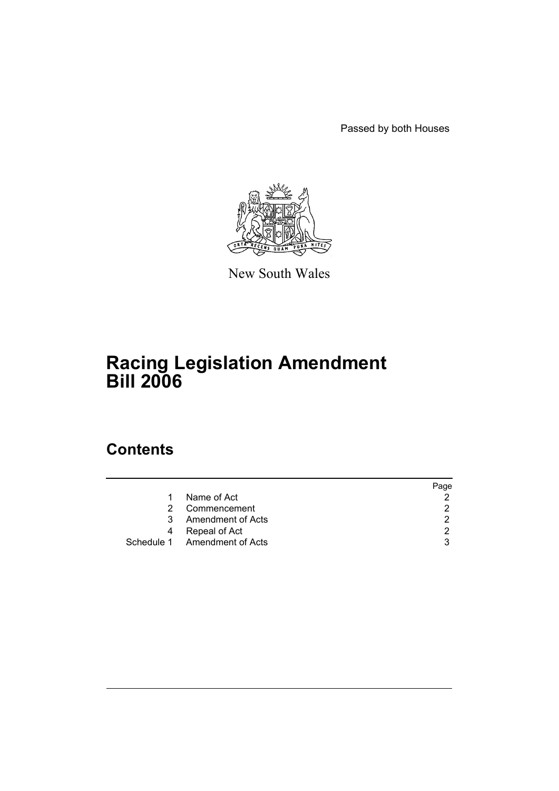Passed by both Houses



New South Wales

# **Racing Legislation Amendment Bill 2006**

# **Contents**

|   |                              | Page |
|---|------------------------------|------|
| 1 | Name of Act                  |      |
| 2 | Commencement                 | 2    |
|   | 3 Amendment of Acts          | 2    |
| 4 | Repeal of Act                | 2    |
|   | Schedule 1 Amendment of Acts | 3    |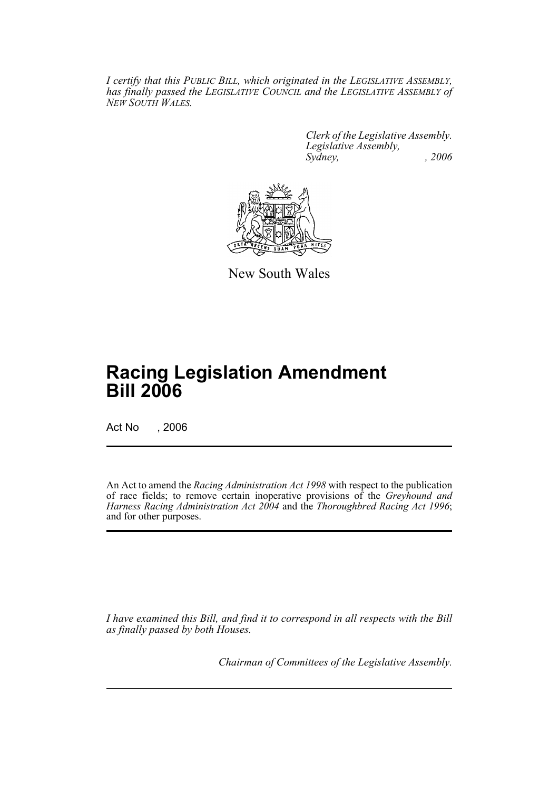*I certify that this PUBLIC BILL, which originated in the LEGISLATIVE ASSEMBLY, has finally passed the LEGISLATIVE COUNCIL and the LEGISLATIVE ASSEMBLY of NEW SOUTH WALES.*

> *Clerk of the Legislative Assembly. Legislative Assembly, Sydney, , 2006*



New South Wales

# **Racing Legislation Amendment Bill 2006**

Act No , 2006

An Act to amend the *Racing Administration Act 1998* with respect to the publication of race fields; to remove certain inoperative provisions of the *Greyhound and Harness Racing Administration Act 2004* and the *Thoroughbred Racing Act 1996*; and for other purposes.

*I have examined this Bill, and find it to correspond in all respects with the Bill as finally passed by both Houses.*

*Chairman of Committees of the Legislative Assembly.*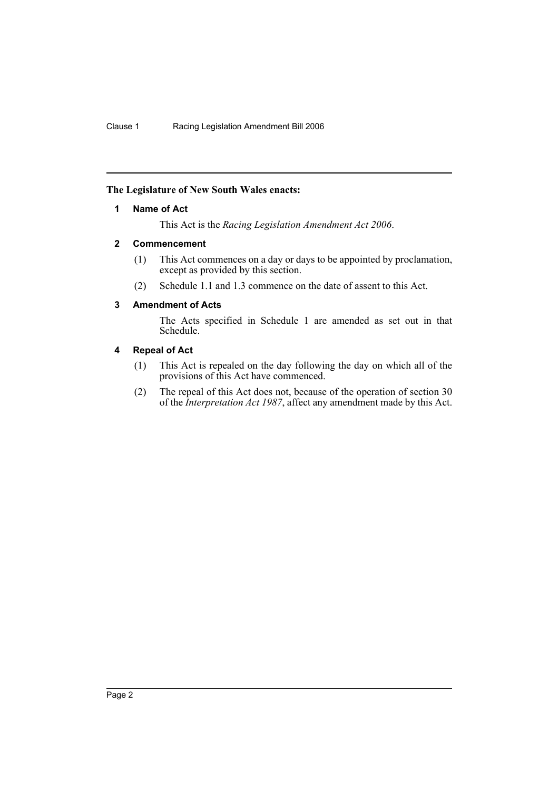# **The Legislature of New South Wales enacts:**

# **1 Name of Act**

This Act is the *Racing Legislation Amendment Act 2006*.

## **2 Commencement**

- (1) This Act commences on a day or days to be appointed by proclamation, except as provided by this section.
- (2) Schedule 1.1 and 1.3 commence on the date of assent to this Act.

# **3 Amendment of Acts**

The Acts specified in Schedule 1 are amended as set out in that Schedule.

## **4 Repeal of Act**

- (1) This Act is repealed on the day following the day on which all of the provisions of this Act have commenced.
- (2) The repeal of this Act does not, because of the operation of section 30 of the *Interpretation Act 1987*, affect any amendment made by this Act.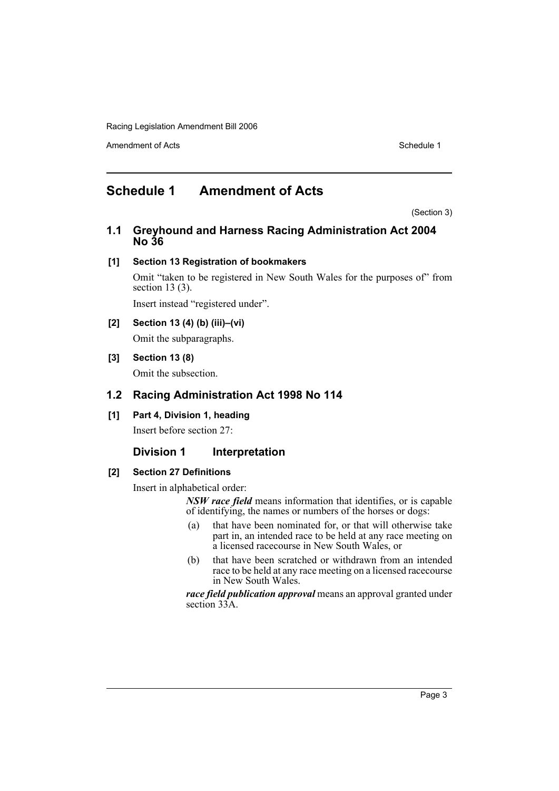Amendment of Acts **Schedule 1** and the set of Acts Schedule 1

# **Schedule 1 Amendment of Acts**

(Section 3)

**1.1 Greyhound and Harness Racing Administration Act 2004 No 36**

# **[1] Section 13 Registration of bookmakers**

Omit "taken to be registered in New South Wales for the purposes of" from section 13 (3).

Insert instead "registered under".

**[2] Section 13 (4) (b) (iii)–(vi)** Omit the subparagraphs.

# **[3] Section 13 (8)**

Omit the subsection.

# **1.2 Racing Administration Act 1998 No 114**

**[1] Part 4, Division 1, heading**

Insert before section 27:

# **Division 1** Interpretation

#### **[2] Section 27 Definitions**

Insert in alphabetical order:

*NSW race field* means information that identifies, or is capable of identifying, the names or numbers of the horses or dogs:

- (a) that have been nominated for, or that will otherwise take part in, an intended race to be held at any race meeting on a licensed racecourse in New South Wales, or
- (b) that have been scratched or withdrawn from an intended race to be held at any race meeting on a licensed racecourse in New South Wales.

*race field publication approval* means an approval granted under section 33A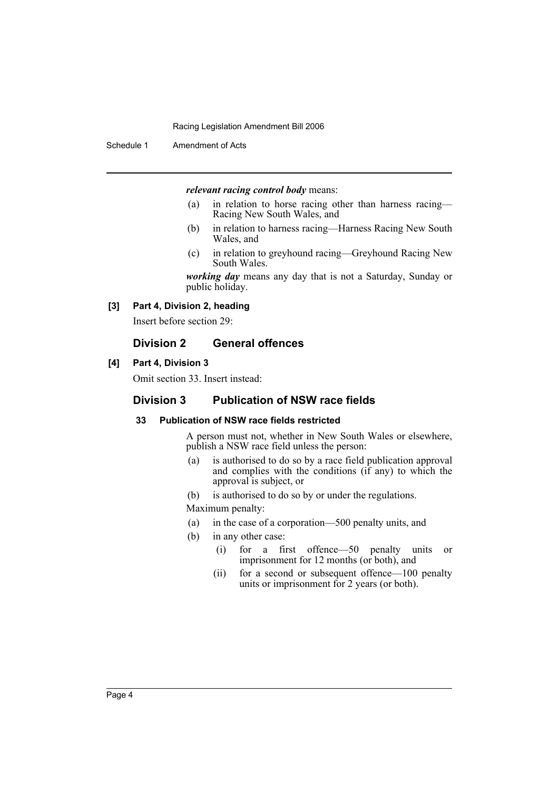Schedule 1 Amendment of Acts

#### *relevant racing control body* means:

- (a) in relation to horse racing other than harness racing— Racing New South Wales, and
- (b) in relation to harness racing—Harness Racing New South Wales, and
- (c) in relation to greyhound racing—Greyhound Racing New South Wales.

*working day* means any day that is not a Saturday, Sunday or public holiday.

### **[3] Part 4, Division 2, heading**

Insert before section 29:

# **Division 2 General offences**

## **[4] Part 4, Division 3**

Omit section 33. Insert instead:

# **Division 3 Publication of NSW race fields**

# **33 Publication of NSW race fields restricted**

A person must not, whether in New South Wales or elsewhere, publish a NSW race field unless the person:

- (a) is authorised to do so by a race field publication approval and complies with the conditions (if any) to which the approval is subject, or
- (b) is authorised to do so by or under the regulations.
- Maximum penalty:
- (a) in the case of a corporation—500 penalty units, and
- (b) in any other case:
	- (i) for a first offence—50 penalty units or imprisonment for 12 months (or both), and
	- (ii) for a second or subsequent offence—100 penalty units or imprisonment for 2 years (or both).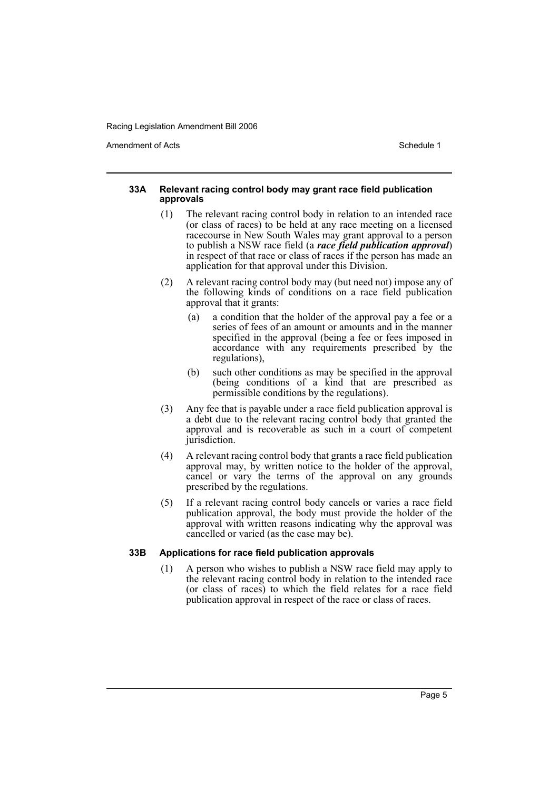Amendment of Acts **Amendment of Acts** Schedule 1

#### **33A Relevant racing control body may grant race field publication approvals**

- (1) The relevant racing control body in relation to an intended race (or class of races) to be held at any race meeting on a licensed racecourse in New South Wales may grant approval to a person to publish a NSW race field (a *race field publication approval*) in respect of that race or class of races if the person has made an application for that approval under this Division.
- (2) A relevant racing control body may (but need not) impose any of the following kinds of conditions on a race field publication approval that it grants:
	- (a) a condition that the holder of the approval pay a fee or a series of fees of an amount or amounts and in the manner specified in the approval (being a fee or fees imposed in accordance with any requirements prescribed by the regulations),
	- (b) such other conditions as may be specified in the approval (being conditions of a kind that are prescribed as permissible conditions by the regulations).
- (3) Any fee that is payable under a race field publication approval is a debt due to the relevant racing control body that granted the approval and is recoverable as such in a court of competent jurisdiction.
- (4) A relevant racing control body that grants a race field publication approval may, by written notice to the holder of the approval, cancel or vary the terms of the approval on any grounds prescribed by the regulations.
- (5) If a relevant racing control body cancels or varies a race field publication approval, the body must provide the holder of the approval with written reasons indicating why the approval was cancelled or varied (as the case may be).

# **33B Applications for race field publication approvals**

(1) A person who wishes to publish a NSW race field may apply to the relevant racing control body in relation to the intended race (or class of races) to which the field relates for a race field publication approval in respect of the race or class of races.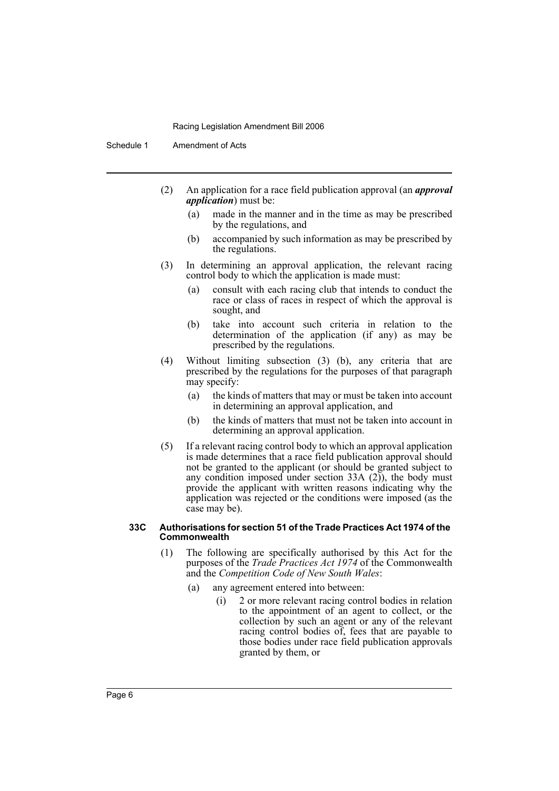Schedule 1 Amendment of Acts

- (2) An application for a race field publication approval (an *approval application*) must be:
	- (a) made in the manner and in the time as may be prescribed by the regulations, and
	- (b) accompanied by such information as may be prescribed by the regulations.
- (3) In determining an approval application, the relevant racing control body to which the application is made must:
	- (a) consult with each racing club that intends to conduct the race or class of races in respect of which the approval is sought, and
	- (b) take into account such criteria in relation to the determination of the application (if any) as may be prescribed by the regulations.
- (4) Without limiting subsection (3) (b), any criteria that are prescribed by the regulations for the purposes of that paragraph may specify:
	- (a) the kinds of matters that may or must be taken into account in determining an approval application, and
	- (b) the kinds of matters that must not be taken into account in determining an approval application.
- (5) If a relevant racing control body to which an approval application is made determines that a race field publication approval should not be granted to the applicant (or should be granted subject to any condition imposed under section  $33A(2)$ , the body must provide the applicant with written reasons indicating why the application was rejected or the conditions were imposed (as the case may be).

#### **33C Authorisations for section 51 of the Trade Practices Act 1974 of the Commonwealth**

- (1) The following are specifically authorised by this Act for the purposes of the *Trade Practices Act 1974* of the Commonwealth and the *Competition Code of New South Wales*:
	- (a) any agreement entered into between:
		- (i) 2 or more relevant racing control bodies in relation to the appointment of an agent to collect, or the collection by such an agent or any of the relevant racing control bodies of, fees that are payable to those bodies under race field publication approvals granted by them, or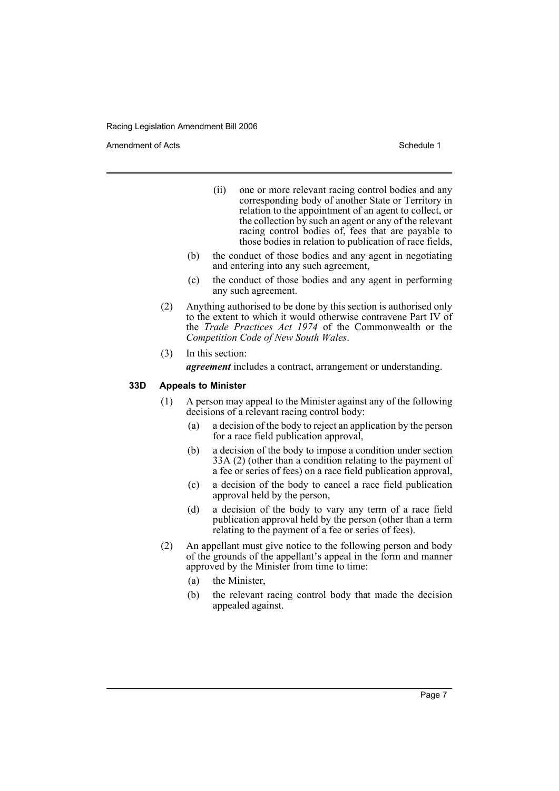Amendment of Acts **Schedule 1** and the set of Acts Schedule 1

- (ii) one or more relevant racing control bodies and any corresponding body of another State or Territory in relation to the appointment of an agent to collect, or the collection by such an agent or any of the relevant racing control bodies of, fees that are payable to those bodies in relation to publication of race fields,
- (b) the conduct of those bodies and any agent in negotiating and entering into any such agreement,
- (c) the conduct of those bodies and any agent in performing any such agreement.
- (2) Anything authorised to be done by this section is authorised only to the extent to which it would otherwise contravene Part IV of the *Trade Practices Act 1974* of the Commonwealth or the *Competition Code of New South Wales*.
- (3) In this section:

*agreement* includes a contract, arrangement or understanding.

### **33D Appeals to Minister**

- (1) A person may appeal to the Minister against any of the following decisions of a relevant racing control body:
	- (a) a decision of the body to reject an application by the person for a race field publication approval,
	- (b) a decision of the body to impose a condition under section 33A (2) (other than a condition relating to the payment of a fee or series of fees) on a race field publication approval,
	- (c) a decision of the body to cancel a race field publication approval held by the person,
	- (d) a decision of the body to vary any term of a race field publication approval held by the person (other than a term relating to the payment of a fee or series of fees).
- (2) An appellant must give notice to the following person and body of the grounds of the appellant's appeal in the form and manner approved by the Minister from time to time:
	- (a) the Minister,
	- (b) the relevant racing control body that made the decision appealed against.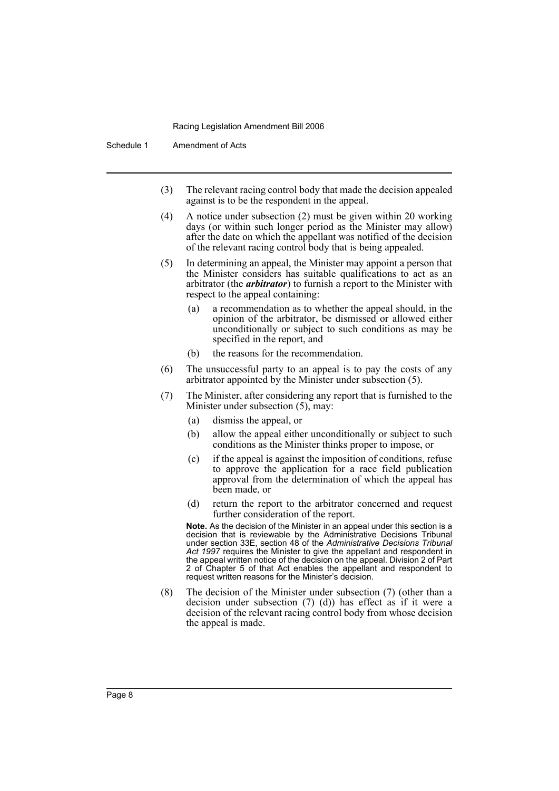Schedule 1 Amendment of Acts

- (3) The relevant racing control body that made the decision appealed against is to be the respondent in the appeal.
- (4) A notice under subsection (2) must be given within 20 working days (or within such longer period as the Minister may allow) after the date on which the appellant was notified of the decision of the relevant racing control body that is being appealed.
- (5) In determining an appeal, the Minister may appoint a person that the Minister considers has suitable qualifications to act as an arbitrator (the *arbitrator*) to furnish a report to the Minister with respect to the appeal containing:
	- (a) a recommendation as to whether the appeal should, in the opinion of the arbitrator, be dismissed or allowed either unconditionally or subject to such conditions as may be specified in the report, and
	- (b) the reasons for the recommendation.
- (6) The unsuccessful party to an appeal is to pay the costs of any arbitrator appointed by the Minister under subsection (5).
- (7) The Minister, after considering any report that is furnished to the Minister under subsection (5), may:
	- (a) dismiss the appeal, or
	- (b) allow the appeal either unconditionally or subject to such conditions as the Minister thinks proper to impose, or
	- (c) if the appeal is against the imposition of conditions, refuse to approve the application for a race field publication approval from the determination of which the appeal has been made, or
	- (d) return the report to the arbitrator concerned and request further consideration of the report.

**Note.** As the decision of the Minister in an appeal under this section is a decision that is reviewable by the Administrative Decisions Tribunal under section 33E, section 48 of the *Administrative Decisions Tribunal Act 1997* requires the Minister to give the appellant and respondent in the appeal written notice of the decision on the appeal. Division 2 of Part 2 of Chapter 5 of that Act enables the appellant and respondent to request written reasons for the Minister's decision.

(8) The decision of the Minister under subsection (7) (other than a decision under subsection (7) (d)) has effect as if it were a decision of the relevant racing control body from whose decision the appeal is made.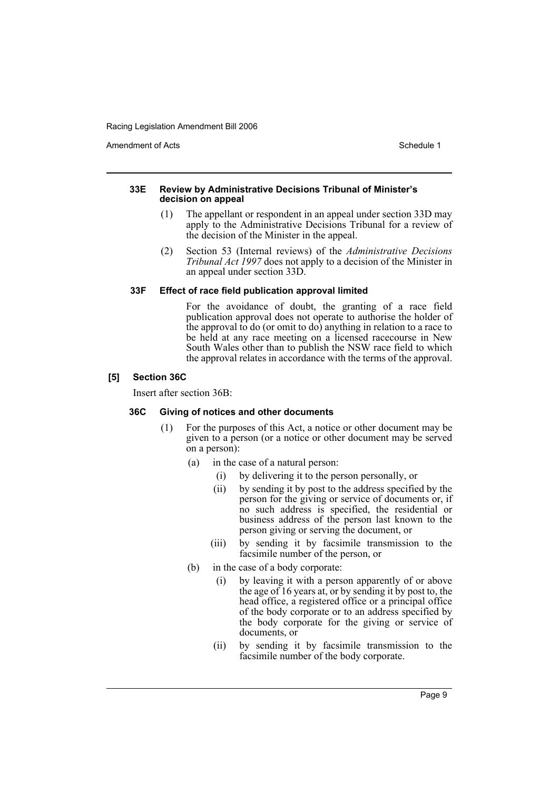Amendment of Acts **Amendment of Acts** Schedule 1

#### **33E Review by Administrative Decisions Tribunal of Minister's decision on appeal**

- (1) The appellant or respondent in an appeal under section 33D may apply to the Administrative Decisions Tribunal for a review of the decision of the Minister in the appeal.
- (2) Section 53 (Internal reviews) of the *Administrative Decisions Tribunal Act 1997* does not apply to a decision of the Minister in an appeal under section 33D.

## **33F Effect of race field publication approval limited**

For the avoidance of doubt, the granting of a race field publication approval does not operate to authorise the holder of the approval to do (or omit to do) anything in relation to a race to be held at any race meeting on a licensed racecourse in New South Wales other than to publish the NSW race field to which the approval relates in accordance with the terms of the approval.

## **[5] Section 36C**

Insert after section 36B:

# **36C Giving of notices and other documents**

- (1) For the purposes of this Act, a notice or other document may be given to a person (or a notice or other document may be served on a person):
	- (a) in the case of a natural person:
		- (i) by delivering it to the person personally, or
		- (ii) by sending it by post to the address specified by the person for the giving or service of documents or, if no such address is specified, the residential or business address of the person last known to the person giving or serving the document, or
		- (iii) by sending it by facsimile transmission to the facsimile number of the person, or
	- (b) in the case of a body corporate:
		- (i) by leaving it with a person apparently of or above the age of  $16$  years at, or by sending it by post to, the head office, a registered office or a principal office of the body corporate or to an address specified by the body corporate for the giving or service of documents, or
		- (ii) by sending it by facsimile transmission to the facsimile number of the body corporate.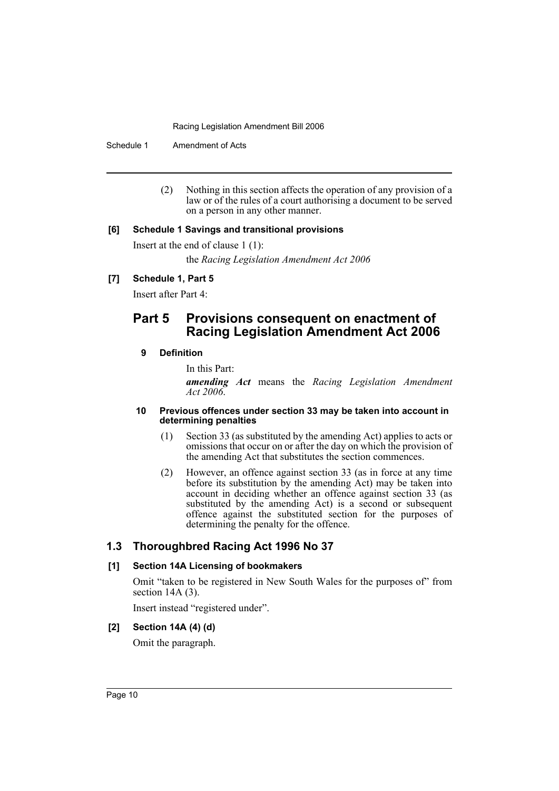Schedule 1 Amendment of Acts

(2) Nothing in this section affects the operation of any provision of a law or of the rules of a court authorising a document to be served on a person in any other manner.

## **[6] Schedule 1 Savings and transitional provisions**

Insert at the end of clause 1 (1): the *Racing Legislation Amendment Act 2006*

# **[7] Schedule 1, Part 5**

Insert after Part 4:

# **Part 5 Provisions consequent on enactment of Racing Legislation Amendment Act 2006**

# **9 Definition**

In this Part:

*amending Act* means the *Racing Legislation Amendment Act 2006*.

#### **10 Previous offences under section 33 may be taken into account in determining penalties**

- (1) Section 33 (as substituted by the amending Act) applies to acts or omissions that occur on or after the day on which the provision of the amending Act that substitutes the section commences.
- (2) However, an offence against section 33 (as in force at any time before its substitution by the amending Act) may be taken into account in deciding whether an offence against section 33 (as substituted by the amending Act) is a second or subsequent offence against the substituted section for the purposes of determining the penalty for the offence.

# **1.3 Thoroughbred Racing Act 1996 No 37**

# **[1] Section 14A Licensing of bookmakers**

Omit "taken to be registered in New South Wales for the purposes of" from section 14A (3).

Insert instead "registered under".

# **[2] Section 14A (4) (d)**

Omit the paragraph.